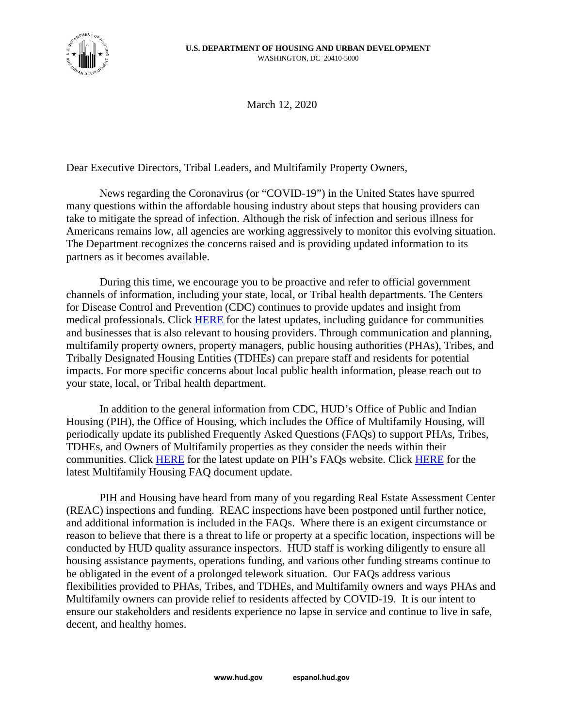

March 12, 2020

Dear Executive Directors, Tribal Leaders, and Multifamily Property Owners,

News regarding the Coronavirus (or "COVID-19") in the United States have spurred many questions within the affordable housing industry about steps that housing providers can take to mitigate the spread of infection. Although the risk of infection and serious illness for Americans remains low, all agencies are working aggressively to monitor this evolving situation. The Department recognizes the concerns raised and is providing updated information to its partners as it becomes available.

During this time, we encourage you to be proactive and refer to official government channels of information, including your state, local, or Tribal health departments. The Centers for Disease Control and Prevention (CDC) continues to provide updates and insight from medical professionals. Click [HERE](https://www.hud.gov/coronavirus) for the latest updates, including guidance for communities and businesses that is also relevant to housing providers. Through communication and planning, multifamily property owners, property managers, public housing authorities (PHAs), Tribes, and Tribally Designated Housing Entities (TDHEs) can prepare staff and residents for potential impacts. For more specific concerns about local public health information, please reach out to your state, local, or Tribal health department.

In addition to the general information from CDC, HUD's Office of Public and Indian Housing (PIH), the Office of Housing, which includes the Office of Multifamily Housing, will periodically update its published Frequently Asked Questions (FAQs) to support PHAs, Tribes, TDHEs, and Owners of Multifamily properties as they consider the needs within their communities. Click [HERE](https://www.hud.gov/program_offices/public_indian_housing/covid_19_resources) for the latest update on PIH's FAQs website. Click [HERE](https://www.hud.gov/program_offices/housing/mfh) for the latest Multifamily Housing FAQ document update.

PIH and Housing have heard from many of you regarding Real Estate Assessment Center (REAC) inspections and funding. REAC inspections have been postponed until further notice, and additional information is included in the FAQs. Where there is an exigent circumstance or reason to believe that there is a threat to life or property at a specific location, inspections will be conducted by HUD quality assurance inspectors. HUD staff is working diligently to ensure all housing assistance payments, operations funding, and various other funding streams continue to be obligated in the event of a prolonged telework situation. Our FAQs address various flexibilities provided to PHAs, Tribes, and TDHEs, and Multifamily owners and ways PHAs and Multifamily owners can provide relief to residents affected by COVID-19. It is our intent to ensure our stakeholders and residents experience no lapse in service and continue to live in safe, decent, and healthy homes.